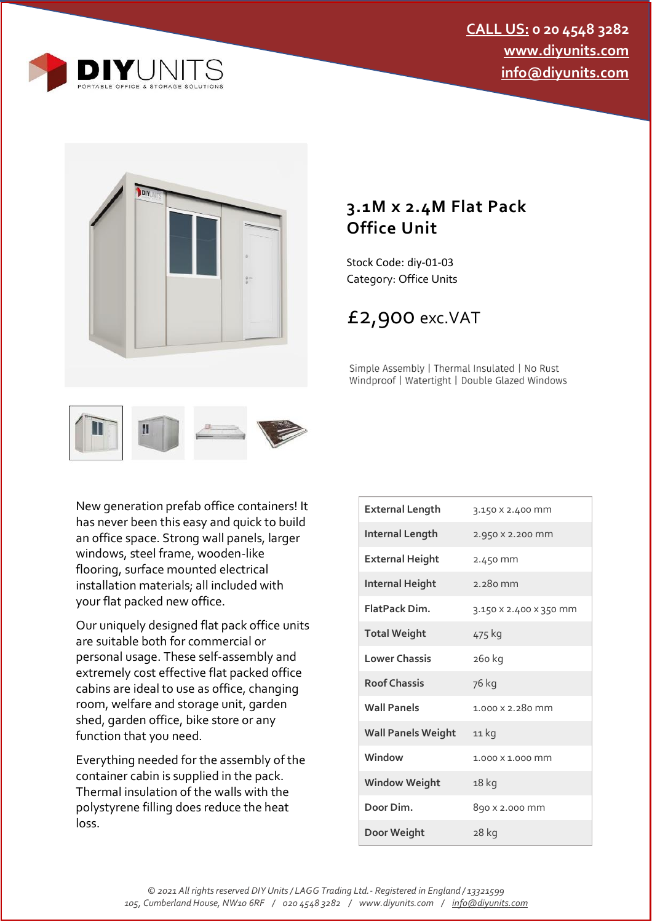



## **3.1M x 2.4M Flat Pack Office Unit**

Stock Code: diy-01-03 Category: Office Units

## £2,900 exc.VAT

Simple Assembly | Thermal Insulated | No Rust Windproof | Watertight | Double Glazed Windows



New generation prefab office containers! It has never been this easy and quick to build an office space. Strong wall panels, larger windows, steel frame, wooden-like flooring, surface mounted electrical installation materials; all included with your flat packed new office.

Our uniquely designed flat pack office units are suitable both for commercial or personal usage. These self-assembly and extremely cost effective flat packed office cabins are ideal to use as office, changing room, welfare and storage unit, garden shed, garden office, bike store or any function that you need.

Everything needed for the assembly of the container cabin is supplied in the pack. Thermal insulation of the walls with the polystyrene filling does reduce the heat loss.

| <b>External Length</b>    | 3.150 X 2.400 MM       |
|---------------------------|------------------------|
| <b>Internal Length</b>    | 2.950 X 2.200 mm       |
| <b>External Height</b>    | 2.450 mm               |
| <b>Internal Height</b>    | $2.280$ mm             |
| <b>FlatPack Dim.</b>      | 3.150 X 2.400 X 350 MM |
| <b>Total Weight</b>       | 475 kg                 |
| <b>Lower Chassis</b>      | 260 kg                 |
| <b>Roof Chassis</b>       | 76 kg                  |
| <b>Wall Panels</b>        | 1.000 x 2.280 mm       |
| <b>Wall Panels Weight</b> | 11 kg                  |
| Window                    | 1.000 X 1.000 MM       |
| <b>Window Weight</b>      | 18 kg                  |
| Door Dim.                 | 890 x 2.000 mm         |
| Door Weight               | 28 kg                  |